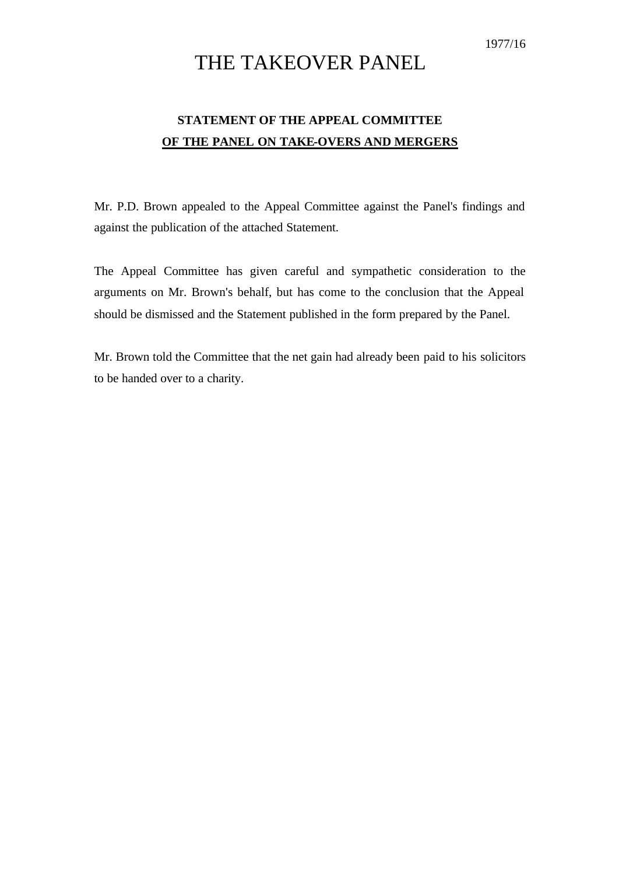1977/16

## THE TAKEOVER PANEL

## **STATEMENT OF THE APPEAL COMMITTEE OF THE PANEL ON TAKE-OVERS AND MERGERS**

Mr. P.D. Brown appealed to the Appeal Committee against the Panel's findings and against the publication of the attached Statement.

The Appeal Committee has given careful and sympathetic consideration to the arguments on Mr. Brown's behalf, but has come to the conclusion that the Appeal should be dismissed and the Statement published in the form prepared by the Panel.

Mr. Brown told the Committee that the net gain had already been paid to his solicitors to be handed over to a charity.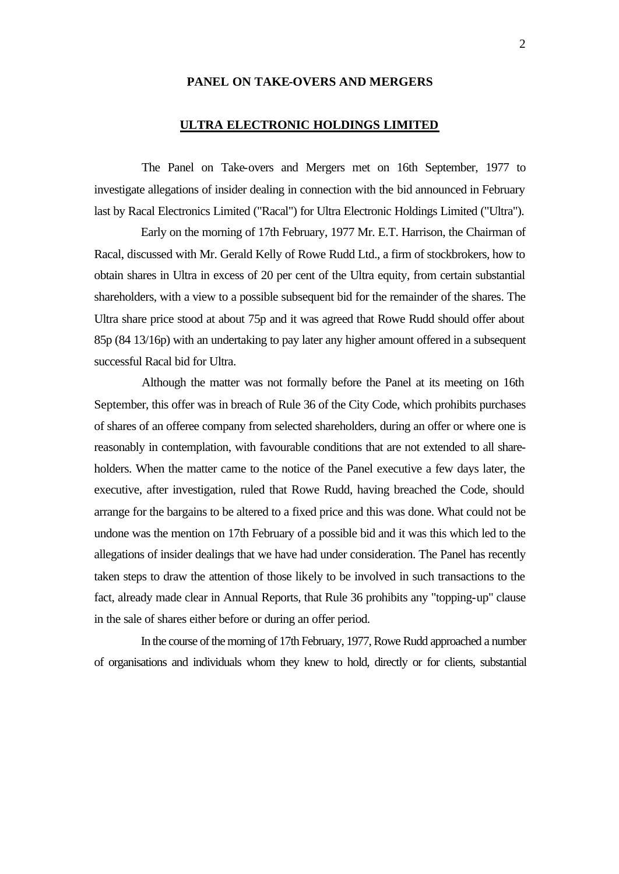## **PANEL ON TAKE-OVERS AND MERGERS**

## **ULTRA ELECTRONIC HOLDINGS LIMITED**

The Panel on Take-overs and Mergers met on 16th September, 1977 to investigate allegations of insider dealing in connection with the bid announced in February last by Racal Electronics Limited ("Racal") for Ultra Electronic Holdings Limited ("Ultra").

Early on the morning of 17th February, 1977 Mr. E.T. Harrison, the Chairman of Racal, discussed with Mr. Gerald Kelly of Rowe Rudd Ltd., a firm of stockbrokers, how to obtain shares in Ultra in excess of 20 per cent of the Ultra equity, from certain substantial shareholders, with a view to a possible subsequent bid for the remainder of the shares. The Ultra share price stood at about 75p and it was agreed that Rowe Rudd should offer about 85p (84 13/16p) with an undertaking to pay later any higher amount offered in a subsequent successful Racal bid for Ultra.

Although the matter was not formally before the Panel at its meeting on 16th September, this offer was in breach of Rule 36 of the City Code, which prohibits purchases of shares of an offeree company from selected shareholders, during an offer or where one is reasonably in contemplation, with favourable conditions that are not extended to all shareholders. When the matter came to the notice of the Panel executive a few days later, the executive, after investigation, ruled that Rowe Rudd, having breached the Code, should arrange for the bargains to be altered to a fixed price and this was done. What could not be undone was the mention on 17th February of a possible bid and it was this which led to the allegations of insider dealings that we have had under consideration. The Panel has recently taken steps to draw the attention of those likely to be involved in such transactions to the fact, already made clear in Annual Reports, that Rule 36 prohibits any "topping-up" clause in the sale of shares either before or during an offer period.

In the course of the morning of 17th February, 1977, Rowe Rudd approached a number of organisations and individuals whom they knew to hold, directly or for clients, substantial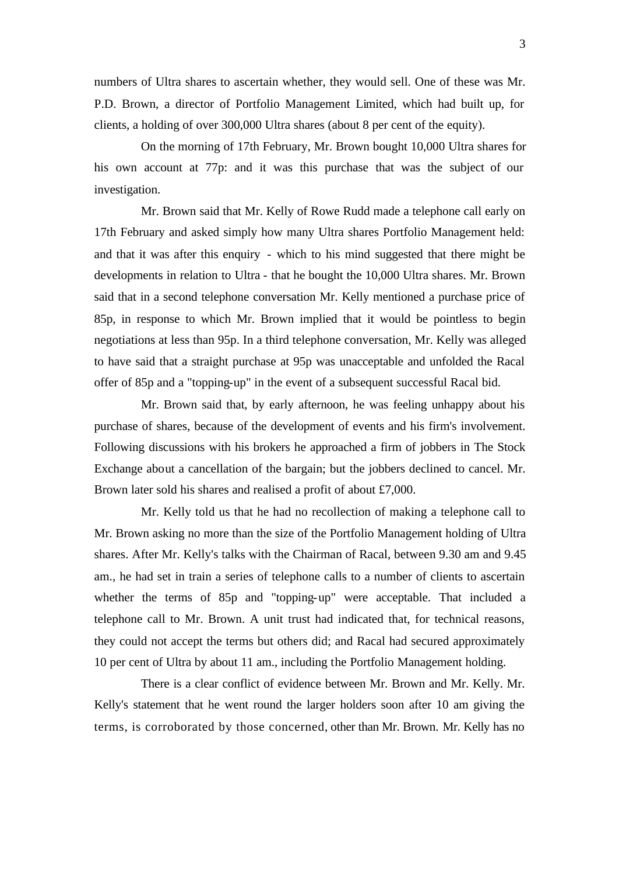numbers of Ultra shares to ascertain whether, they would sell. One of these was Mr. P.D. Brown, a director of Portfolio Management Limited, which had built up, for clients, a holding of over 300,000 Ultra shares (about 8 per cent of the equity).

On the morning of 17th February, Mr. Brown bought 10,000 Ultra shares for his own account at 77p: and it was this purchase that was the subject of our investigation.

Mr. Brown said that Mr. Kelly of Rowe Rudd made a telephone call early on 17th February and asked simply how many Ultra shares Portfolio Management held: and that it was after this enquiry - which to his mind suggested that there might be developments in relation to Ultra - that he bought the 10,000 Ultra shares. Mr. Brown said that in a second telephone conversation Mr. Kelly mentioned a purchase price of 85p, in response to which Mr. Brown implied that it would be pointless to begin negotiations at less than 95p. In a third telephone conversation, Mr. Kelly was alleged to have said that a straight purchase at 95p was unacceptable and unfolded the Racal offer of 85p and a "topping-up" in the event of a subsequent successful Racal bid.

Mr. Brown said that, by early afternoon, he was feeling unhappy about his purchase of shares, because of the development of events and his firm's involvement. Following discussions with his brokers he approached a firm of jobbers in The Stock Exchange about a cancellation of the bargain; but the jobbers declined to cancel. Mr. Brown later sold his shares and realised a profit of about £7,000.

Mr. Kelly told us that he had no recollection of making a telephone call to Mr. Brown asking no more than the size of the Portfolio Management holding of Ultra shares. After Mr. Kelly's talks with the Chairman of Racal, between 9.30 am and 9.45 am., he had set in train a series of telephone calls to a number of clients to ascertain whether the terms of 85p and "topping-up" were acceptable. That included a telephone call to Mr. Brown. A unit trust had indicated that, for technical reasons, they could not accept the terms but others did; and Racal had secured approximately 10 per cent of Ultra by about 11 am., including the Portfolio Management holding.

There is a clear conflict of evidence between Mr. Brown and Mr. Kelly. Mr. Kelly's statement that he went round the larger holders soon after 10 am giving the terms, is corroborated by those concerned, other than Mr. Brown. Mr. Kelly has no